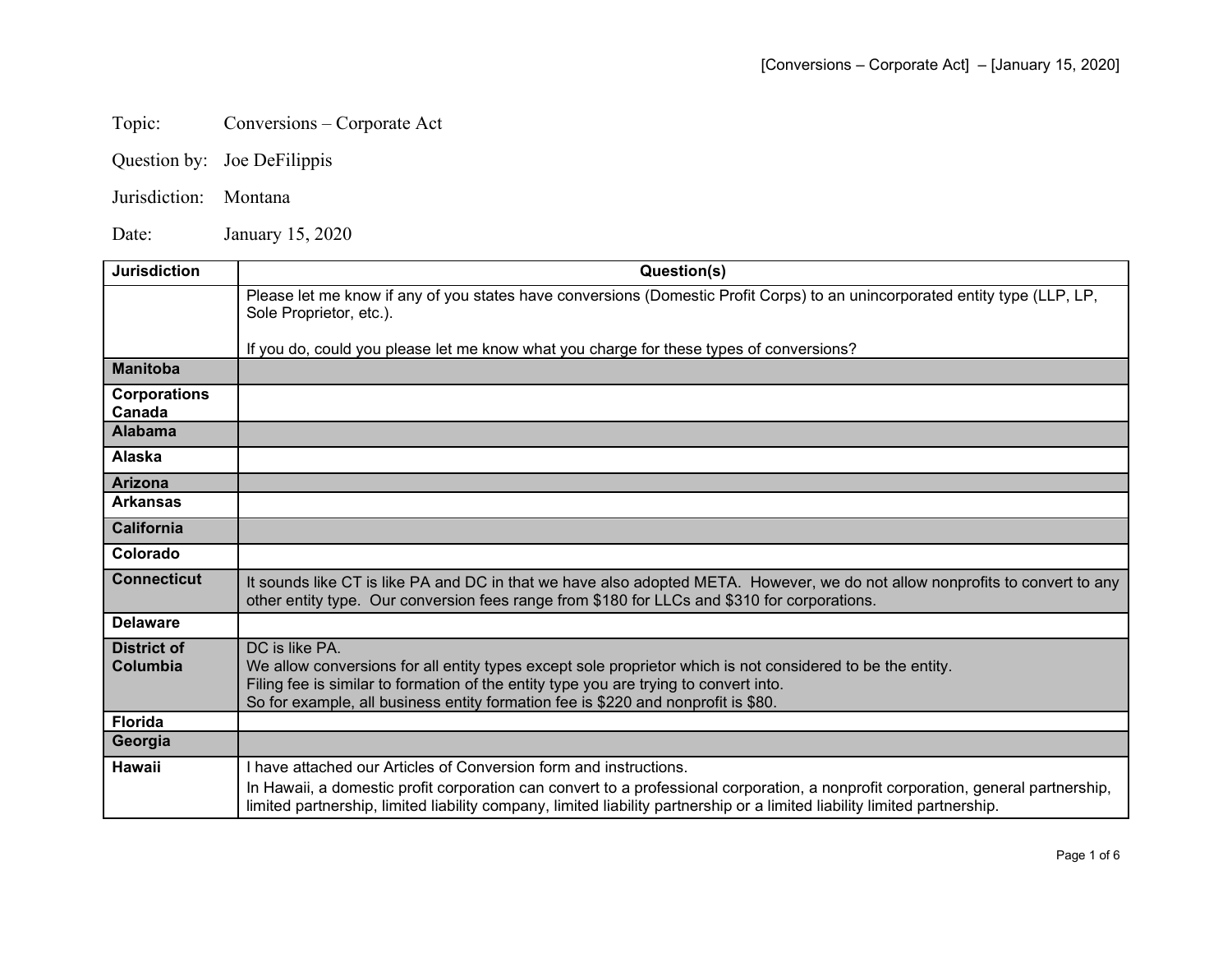## Topic: Conversions – Corporate Act

- Question by: Joe DeFilippis
- Jurisdiction: Montana

Date: January 15, 2020

| <b>Jurisdiction</b>            | Question(s)                                                                                                                                                                                                                                                                                                |
|--------------------------------|------------------------------------------------------------------------------------------------------------------------------------------------------------------------------------------------------------------------------------------------------------------------------------------------------------|
|                                | Please let me know if any of you states have conversions (Domestic Profit Corps) to an unincorporated entity type (LLP, LP,<br>Sole Proprietor, etc.).                                                                                                                                                     |
|                                | If you do, could you please let me know what you charge for these types of conversions?                                                                                                                                                                                                                    |
| <b>Manitoba</b>                |                                                                                                                                                                                                                                                                                                            |
| <b>Corporations</b><br>Canada  |                                                                                                                                                                                                                                                                                                            |
| <b>Alabama</b>                 |                                                                                                                                                                                                                                                                                                            |
| Alaska                         |                                                                                                                                                                                                                                                                                                            |
| <b>Arizona</b>                 |                                                                                                                                                                                                                                                                                                            |
| <b>Arkansas</b>                |                                                                                                                                                                                                                                                                                                            |
| <b>California</b>              |                                                                                                                                                                                                                                                                                                            |
| Colorado                       |                                                                                                                                                                                                                                                                                                            |
| <b>Connecticut</b>             | It sounds like CT is like PA and DC in that we have also adopted META. However, we do not allow nonprofits to convert to any<br>other entity type. Our conversion fees range from \$180 for LLCs and \$310 for corporations.                                                                               |
| <b>Delaware</b>                |                                                                                                                                                                                                                                                                                                            |
| <b>District of</b><br>Columbia | DC is like PA.<br>We allow conversions for all entity types except sole proprietor which is not considered to be the entity.<br>Filing fee is similar to formation of the entity type you are trying to convert into.<br>So for example, all business entity formation fee is \$220 and nonprofit is \$80. |
| <b>Florida</b>                 |                                                                                                                                                                                                                                                                                                            |
| Georgia                        |                                                                                                                                                                                                                                                                                                            |
| <b>Hawaii</b>                  | I have attached our Articles of Conversion form and instructions.                                                                                                                                                                                                                                          |
|                                | In Hawaii, a domestic profit corporation can convert to a professional corporation, a nonprofit corporation, general partnership,<br>limited partnership, limited liability company, limited liability partnership or a limited liability limited partnership.                                             |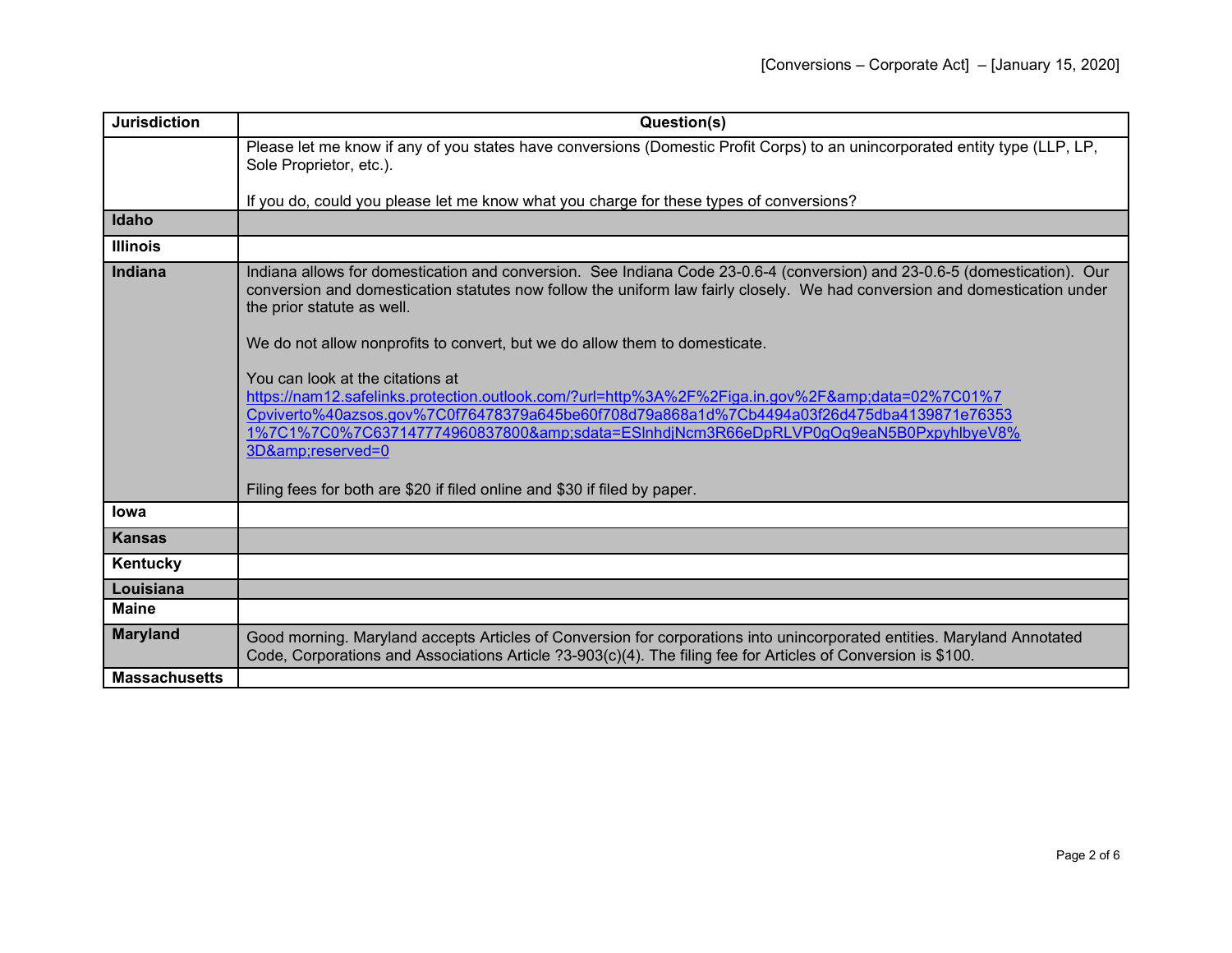| <b>Jurisdiction</b>  | Question(s)                                                                                                                                                                                                                                                                                                                                                                                                                                                                                                                                                                                                                                                                                                                                                                                |
|----------------------|--------------------------------------------------------------------------------------------------------------------------------------------------------------------------------------------------------------------------------------------------------------------------------------------------------------------------------------------------------------------------------------------------------------------------------------------------------------------------------------------------------------------------------------------------------------------------------------------------------------------------------------------------------------------------------------------------------------------------------------------------------------------------------------------|
|                      | Please let me know if any of you states have conversions (Domestic Profit Corps) to an unincorporated entity type (LLP, LP,<br>Sole Proprietor, etc.).                                                                                                                                                                                                                                                                                                                                                                                                                                                                                                                                                                                                                                     |
|                      | If you do, could you please let me know what you charge for these types of conversions?                                                                                                                                                                                                                                                                                                                                                                                                                                                                                                                                                                                                                                                                                                    |
| Idaho                |                                                                                                                                                                                                                                                                                                                                                                                                                                                                                                                                                                                                                                                                                                                                                                                            |
| <b>Illinois</b>      |                                                                                                                                                                                                                                                                                                                                                                                                                                                                                                                                                                                                                                                                                                                                                                                            |
| <b>Indiana</b>       | Indiana allows for domestication and conversion. See Indiana Code 23-0.6-4 (conversion) and 23-0.6-5 (domestication). Our<br>conversion and domestication statutes now follow the uniform law fairly closely. We had conversion and domestication under<br>the prior statute as well.<br>We do not allow nonprofits to convert, but we do allow them to domesticate.<br>You can look at the citations at<br>https://nam12.safelinks.protection.outlook.com/?url=http%3A%2F%2Figa.in.gov%2F&data=02%7C01%7<br>Cpviverto%40azsos.gov%7C0f76478379a645be60f708d79a868a1d%7Cb4494a03f26d475dba4139871e76353<br>1%7C1%7C0%7C637147774960837800&sdata=ESlnhdjNcm3R66eDpRLVP0gOq9eaN5B0PxpyhlbyeV8%<br>3D&reserved=0<br>Filing fees for both are \$20 if filed online and \$30 if filed by paper. |
| lowa                 |                                                                                                                                                                                                                                                                                                                                                                                                                                                                                                                                                                                                                                                                                                                                                                                            |
| <b>Kansas</b>        |                                                                                                                                                                                                                                                                                                                                                                                                                                                                                                                                                                                                                                                                                                                                                                                            |
| Kentucky             |                                                                                                                                                                                                                                                                                                                                                                                                                                                                                                                                                                                                                                                                                                                                                                                            |
| Louisiana            |                                                                                                                                                                                                                                                                                                                                                                                                                                                                                                                                                                                                                                                                                                                                                                                            |
| <b>Maine</b>         |                                                                                                                                                                                                                                                                                                                                                                                                                                                                                                                                                                                                                                                                                                                                                                                            |
| <b>Maryland</b>      | Good morning. Maryland accepts Articles of Conversion for corporations into unincorporated entities. Maryland Annotated<br>Code, Corporations and Associations Article ?3-903(c)(4). The filing fee for Articles of Conversion is \$100.                                                                                                                                                                                                                                                                                                                                                                                                                                                                                                                                                   |
| <b>Massachusetts</b> |                                                                                                                                                                                                                                                                                                                                                                                                                                                                                                                                                                                                                                                                                                                                                                                            |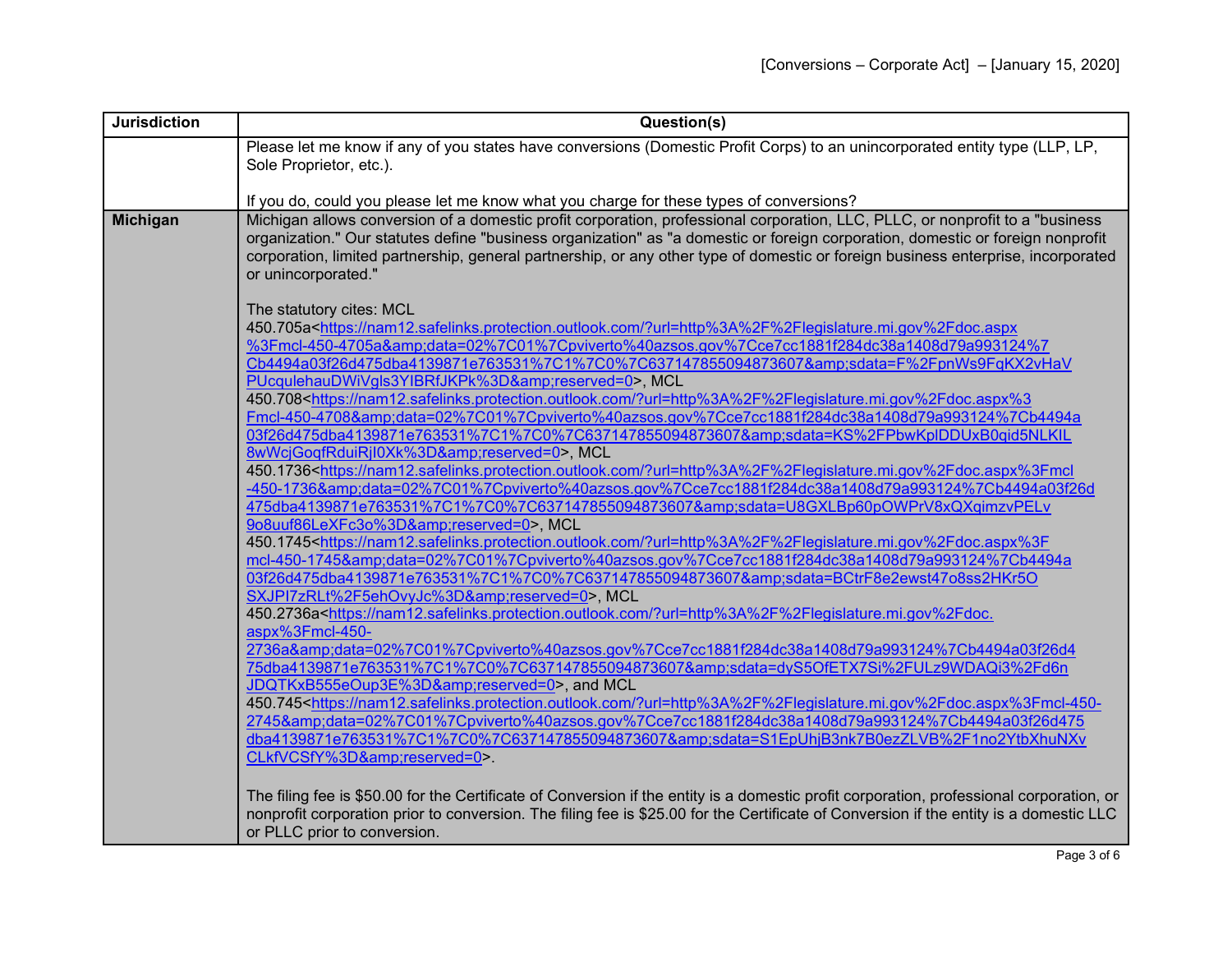| <b>Jurisdiction</b> | Question(s)                                                                                                                                                                                                                                                                                                                                                                                                                                                                                                                                                                                                                                                                                                                                   |
|---------------------|-----------------------------------------------------------------------------------------------------------------------------------------------------------------------------------------------------------------------------------------------------------------------------------------------------------------------------------------------------------------------------------------------------------------------------------------------------------------------------------------------------------------------------------------------------------------------------------------------------------------------------------------------------------------------------------------------------------------------------------------------|
|                     | Please let me know if any of you states have conversions (Domestic Profit Corps) to an unincorporated entity type (LLP, LP,<br>Sole Proprietor, etc.).                                                                                                                                                                                                                                                                                                                                                                                                                                                                                                                                                                                        |
|                     | If you do, could you please let me know what you charge for these types of conversions?                                                                                                                                                                                                                                                                                                                                                                                                                                                                                                                                                                                                                                                       |
| <b>Michigan</b>     | Michigan allows conversion of a domestic profit corporation, professional corporation, LLC, PLLC, or nonprofit to a "business"<br>organization." Our statutes define "business organization" as "a domestic or foreign corporation, domestic or foreign nonprofit<br>corporation, limited partnership, general partnership, or any other type of domestic or foreign business enterprise, incorporated<br>or unincorporated."                                                                                                                                                                                                                                                                                                                 |
|                     | The statutory cites: MCL<br>450.705a <https: ?url="http%3A%2F%2Flegislature.mi.gov%2Fdoc.aspx&lt;br" nam12.safelinks.protection.outlook.com="">%3Fmcl-450-4705a&amp;data=02%7C01%7Cpviverto%40azsos.gov%7Cce7cc1881f284dc38a1408d79a993124%7<br/>Cb4494a03f26d475dba4139871e763531%7C1%7C0%7C637147855094873607&amp;sdata=F%2FpnWs9FqKX2vHaV<br/>PUcqulehauDWiVgls3YIBRfJKPk%3D&amp;reserved=0&gt;, MCL</https:>                                                                                                                                                                                                                                                                                                                              |
|                     | 450.708 <https: ?url="http%3A%2F%2Flegislature.mi.gov%2Fdoc.aspx%3&lt;br" nam12.safelinks.protection.outlook.com="">Fmcl-450-4708&amp;data=02%7C01%7Cpviverto%40azsos.gov%7Cce7cc1881f284dc38a1408d79a993124%7Cb4494a<br/>03f26d475dba4139871e763531%7C1%7C0%7C637147855094873607&amp;sdata=KS%2FPbwKpIDDUxB0qid5NLKIL<br/>8wWcjGogfRduiRjl0Xk%3D&amp;reserved=0&gt;, MCL<br/>450.1736<https: ?url="http%3A%2F%2Flegislature.mi.gov%2Fdoc.aspx%3Fmcl&lt;br" nam12.safelinks.protection.outlook.com="">-450-1736&amp;data=02%7C01%7Cpviverto%40azsos.gov%7Cce7cc1881f284dc38a1408d79a993124%7Cb4494a03f26d</https:></https:>                                                                                                                   |
|                     | 475dba4139871e763531%7C1%7C0%7C637147855094873607&sdata=U8GXLBp60pOWPrV8xQXqimzvPELv<br>9o8uuf86LeXFc3o%3D&reserved=0>, MCL<br>450.1745 <https: ?url="http%3A%2F%2Flegislature.mi.gov%2Fdoc.aspx%3F&lt;br" nam12.safelinks.protection.outlook.com="">mcl-450-1745&amp;data=02%7C01%7Cpviverto%40azsos.gov%7Cce7cc1881f284dc38a1408d79a993124%7Cb4494a<br/>03f26d475dba4139871e763531%7C1%7C0%7C637147855094873607&amp;sdata=BCtrF8e2ewst47o8ss2HKr5O<br/>SXJPI7zRLt%2F5ehOvyJc%3D&amp;reserved=0&gt;, MCL</https:>                                                                                                                                                                                                                            |
|                     | 450.2736a <https: ?url="http%3A%2F%2Flegislature.mi.gov%2Fdoc.&lt;br" nam12.safelinks.protection.outlook.com="">aspx%3Fmcl-450-<br/>2736a&amp;data=02%7C01%7Cpviverto%40azsos.gov%7Cce7cc1881f284dc38a1408d79a993124%7Cb4494a03f26d4<br/>75dba4139871e763531%7C1%7C0%7C637147855094873607&amp;sdata=dyS5OfETX7Si%2FULz9WDAQi3%2Fd6n<br/>JDQTKxB555eOup3E%3D&amp;reserved=0&gt;, and MCL<br/>450.745<https: ?url="http%3A%2F%2Flegislature.mi.gov%2Fdoc.aspx%3Fmcl-450-&lt;br" nam12.safelinks.protection.outlook.com="">2745&amp;data=02%7C01%7Cpviverto%40azsos.gov%7Cce7cc1881f284dc38a1408d79a993124%7Cb4494a03f26d475<br/>dba4139871e763531%7C1%7C0%7C637147855094873607&amp;sdata=S1EpUhjB3nk7B0ezZLVB%2F1no2YtbXhuNXv</https:></https:> |
|                     | CLkfVCSfY%3D&reserved=0>.<br>The filing fee is \$50.00 for the Certificate of Conversion if the entity is a domestic profit corporation, professional corporation, or<br>nonprofit corporation prior to conversion. The filing fee is \$25.00 for the Certificate of Conversion if the entity is a domestic LLC<br>or PLLC prior to conversion.                                                                                                                                                                                                                                                                                                                                                                                               |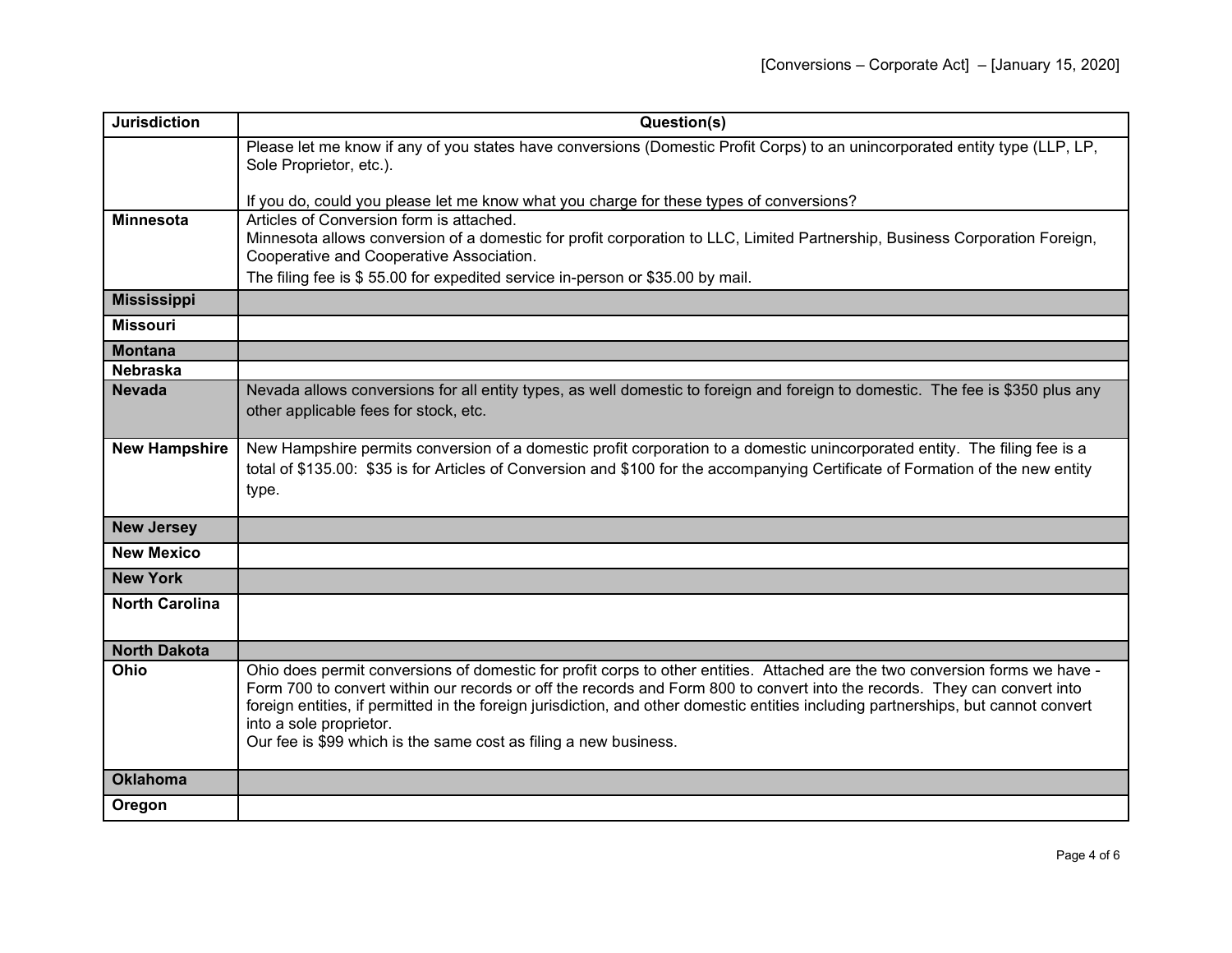| <b>Jurisdiction</b>   | Question(s)                                                                                                                                                                                                                                                                                                                                                                                                                                                                                    |
|-----------------------|------------------------------------------------------------------------------------------------------------------------------------------------------------------------------------------------------------------------------------------------------------------------------------------------------------------------------------------------------------------------------------------------------------------------------------------------------------------------------------------------|
|                       | Please let me know if any of you states have conversions (Domestic Profit Corps) to an unincorporated entity type (LLP, LP,<br>Sole Proprietor, etc.).                                                                                                                                                                                                                                                                                                                                         |
|                       | If you do, could you please let me know what you charge for these types of conversions?                                                                                                                                                                                                                                                                                                                                                                                                        |
| <b>Minnesota</b>      | Articles of Conversion form is attached.<br>Minnesota allows conversion of a domestic for profit corporation to LLC, Limited Partnership, Business Corporation Foreign,<br>Cooperative and Cooperative Association.                                                                                                                                                                                                                                                                            |
|                       | The filing fee is \$55.00 for expedited service in-person or \$35.00 by mail.                                                                                                                                                                                                                                                                                                                                                                                                                  |
| <b>Mississippi</b>    |                                                                                                                                                                                                                                                                                                                                                                                                                                                                                                |
| <b>Missouri</b>       |                                                                                                                                                                                                                                                                                                                                                                                                                                                                                                |
| <b>Montana</b>        |                                                                                                                                                                                                                                                                                                                                                                                                                                                                                                |
| <b>Nebraska</b>       |                                                                                                                                                                                                                                                                                                                                                                                                                                                                                                |
| <b>Nevada</b>         | Nevada allows conversions for all entity types, as well domestic to foreign and foreign to domestic. The fee is \$350 plus any<br>other applicable fees for stock, etc.                                                                                                                                                                                                                                                                                                                        |
| <b>New Hampshire</b>  | New Hampshire permits conversion of a domestic profit corporation to a domestic unincorporated entity. The filing fee is a<br>total of \$135.00: \$35 is for Articles of Conversion and \$100 for the accompanying Certificate of Formation of the new entity<br>type.                                                                                                                                                                                                                         |
| <b>New Jersey</b>     |                                                                                                                                                                                                                                                                                                                                                                                                                                                                                                |
| <b>New Mexico</b>     |                                                                                                                                                                                                                                                                                                                                                                                                                                                                                                |
| <b>New York</b>       |                                                                                                                                                                                                                                                                                                                                                                                                                                                                                                |
| <b>North Carolina</b> |                                                                                                                                                                                                                                                                                                                                                                                                                                                                                                |
| <b>North Dakota</b>   |                                                                                                                                                                                                                                                                                                                                                                                                                                                                                                |
| Ohio                  | Ohio does permit conversions of domestic for profit corps to other entities. Attached are the two conversion forms we have -<br>Form 700 to convert within our records or off the records and Form 800 to convert into the records. They can convert into<br>foreign entities, if permitted in the foreign jurisdiction, and other domestic entities including partnerships, but cannot convert<br>into a sole proprietor.<br>Our fee is \$99 which is the same cost as filing a new business. |
| <b>Oklahoma</b>       |                                                                                                                                                                                                                                                                                                                                                                                                                                                                                                |
| Oregon                |                                                                                                                                                                                                                                                                                                                                                                                                                                                                                                |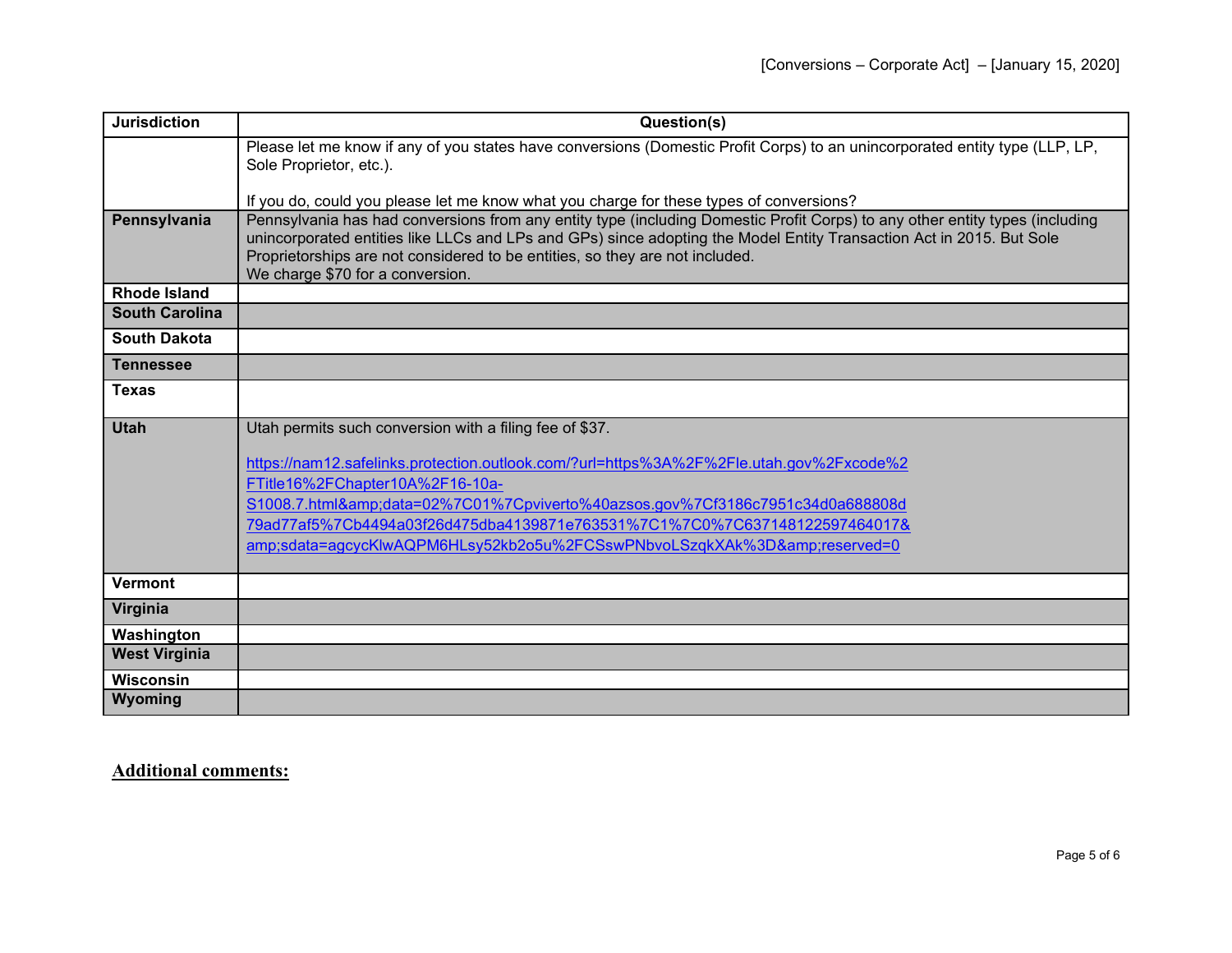| <b>Jurisdiction</b>   | Question(s)                                                                                                                                                                                                                                                                                                                          |
|-----------------------|--------------------------------------------------------------------------------------------------------------------------------------------------------------------------------------------------------------------------------------------------------------------------------------------------------------------------------------|
|                       | Please let me know if any of you states have conversions (Domestic Profit Corps) to an unincorporated entity type (LLP, LP,                                                                                                                                                                                                          |
|                       | Sole Proprietor, etc.).                                                                                                                                                                                                                                                                                                              |
|                       | If you do, could you please let me know what you charge for these types of conversions?                                                                                                                                                                                                                                              |
| Pennsylvania          | Pennsylvania has had conversions from any entity type (including Domestic Profit Corps) to any other entity types (including<br>unincorporated entities like LLCs and LPs and GPs) since adopting the Model Entity Transaction Act in 2015. But Sole<br>Proprietorships are not considered to be entities, so they are not included. |
|                       | We charge \$70 for a conversion.                                                                                                                                                                                                                                                                                                     |
| <b>Rhode Island</b>   |                                                                                                                                                                                                                                                                                                                                      |
| <b>South Carolina</b> |                                                                                                                                                                                                                                                                                                                                      |
| <b>South Dakota</b>   |                                                                                                                                                                                                                                                                                                                                      |
| <b>Tennessee</b>      |                                                                                                                                                                                                                                                                                                                                      |
| <b>Texas</b>          |                                                                                                                                                                                                                                                                                                                                      |
| <b>Utah</b>           | Utah permits such conversion with a filing fee of \$37.                                                                                                                                                                                                                                                                              |
|                       |                                                                                                                                                                                                                                                                                                                                      |
|                       | https://nam12.safelinks.protection.outlook.com/?url=https%3A%2F%2Fle.utah.gov%2Fxcode%2                                                                                                                                                                                                                                              |
|                       | FTitle16%2FChapter10A%2F16-10a-                                                                                                                                                                                                                                                                                                      |
|                       | S1008.7.html&data=02%7C01%7Cpviverto%40azsos.gov%7Cf3186c7951c34d0a688808d                                                                                                                                                                                                                                                           |
|                       | 79ad77af5%7Cb4494a03f26d475dba4139871e763531%7C1%7C0%7C637148122597464017&                                                                                                                                                                                                                                                           |
|                       | amp;sdata=agcycKlwAQPM6HLsy52kb2o5u%2FCSswPNbvoLSzgkXAk%3D&reserved=0                                                                                                                                                                                                                                                                |
| <b>Vermont</b>        |                                                                                                                                                                                                                                                                                                                                      |
| Virginia              |                                                                                                                                                                                                                                                                                                                                      |
| Washington            |                                                                                                                                                                                                                                                                                                                                      |
| <b>West Virginia</b>  |                                                                                                                                                                                                                                                                                                                                      |
| <b>Wisconsin</b>      |                                                                                                                                                                                                                                                                                                                                      |
| Wyoming               |                                                                                                                                                                                                                                                                                                                                      |

**Additional comments:**